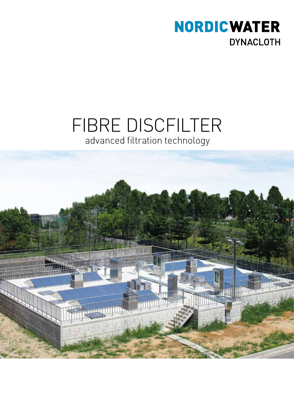

# FIBRE DISCFILTER advanced filtration technology

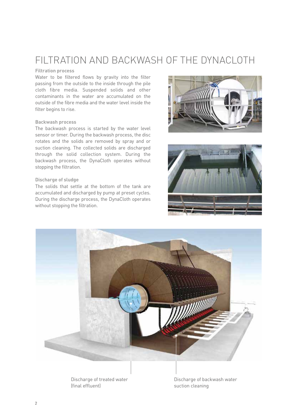## FILTRATION AND BACKWASH OF THE DYNACLOTH

### **Filtration process**

Water to be filtered flows by gravity into the filter passing from the outside to the inside through the pile cloth fibre media. Suspended solids and other contaminants in the water are accumulated on the outside of the fibre media and the water level inside the filter begins to rise.

### **Backwash process**

The backwash process is started by the water level sensor or timer. During the backwash process, the disc rotates and the solids are removed by spray and or suction cleaning. The collected solids are discharged through the solid collection system. During the backwash process, the DynaCloth operates without stopping the filtration.

### **Discharge of sludge**

The solids that settle at the bottom of the tank are accumulated and discharged by pump at preset cycles. During the discharge process, the DynaCloth operates without stopping the filtration.





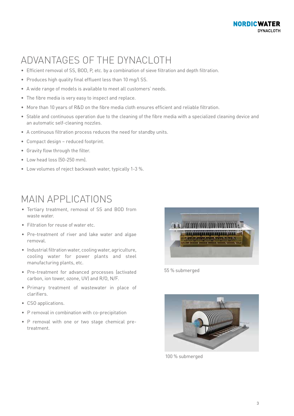## ADVANTAGES OF THE DYNACLOTH

- Efficient removal of SS, BOD, P, etc. by a combination of sieve filtration and depth filtration.
- Produces high quality final effluent less than 10 mg/l SS.
- A wide range of models is available to meet all customers' needs.
- The fibre media is very easy to inspect and replace.
- More than 10 years of R&D on the fibre media cloth ensures efficient and reliable filtration.
- Stable and continuous operation due to the cleaning of the fibre media with a specialized cleaning device and an automatic self-cleaning nozzles.
- A continuous filtration process reduces the need for standby units.
- Compact design reduced footprint.
- Gravity flow through the filter.
- Low head loss (50-250 mm).
- Low volumes of reject backwash water, typically 1-3 %.

### MAIN APPLICATIONS

- Tertiary treatment, removal of SS and BOD from waste water.
- Filtration for reuse of water etc.
- Pre-treatment of river and lake water and algae removal.
- Industrial filtration water, cooling water, agriculture, cooling water for power plants and steel manufacturing plants, etc.
- Pre-treatment for advanced processes (activated carbon, ion tower, ozone, UV) and R/O, N/F.
- Primary treatment of wastewater in place of clarifiers.
- CSO applications.
- P removal in combination with co-precipitation
- P removal with one or two stage chemical pretreatment.



55 % submerged



100 % submerged